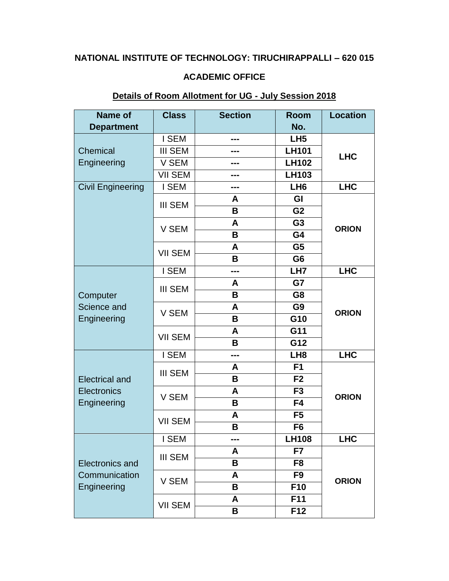## **NATIONAL INSTITUTE OF TECHNOLOGY: TIRUCHIRAPPALLI – 620 015**

### **ACADEMIC OFFICE**

## **Details of Room Allotment for UG - July Session 2018**

| Name of                                                | <b>Class</b>   | <b>Section</b> | <b>Room</b>     | <b>Location</b> |
|--------------------------------------------------------|----------------|----------------|-----------------|-----------------|
| <b>Department</b>                                      |                |                | No.             |                 |
|                                                        | I SEM          | ---            | LH <sub>5</sub> |                 |
| Chemical                                               | <b>III SEM</b> |                | <b>LH101</b>    | <b>LHC</b>      |
| Engineering                                            | V SEM          |                | <b>LH102</b>    |                 |
|                                                        | <b>VII SEM</b> |                | <b>LH103</b>    |                 |
| <b>Civil Engineering</b>                               | I SEM          |                | LH <sub>6</sub> | <b>LHC</b>      |
|                                                        | <b>III SEM</b> | A              | GI              |                 |
|                                                        |                | В              | G <sub>2</sub>  | <b>ORION</b>    |
|                                                        | V SEM          | A              | G <sub>3</sub>  |                 |
|                                                        |                | B              | G4              |                 |
|                                                        | <b>VII SEM</b> | A              | G <sub>5</sub>  |                 |
|                                                        |                | В              | G <sub>6</sub>  |                 |
|                                                        | I SEM          | ---            | LH7             | <b>LHC</b>      |
|                                                        | <b>III SEM</b> | A              | G7              | <b>ORION</b>    |
| Computer                                               |                | B              | G <sub>8</sub>  |                 |
| Science and<br>Engineering                             | V SEM          | A              | G <sub>9</sub>  |                 |
|                                                        |                | B              | G10             |                 |
|                                                        | <b>VII SEM</b> | A              | G11             |                 |
|                                                        |                | В              | G12             |                 |
|                                                        | I SEM          | ---            | LH <sub>8</sub> | <b>LHC</b>      |
|                                                        | <b>III SEM</b> | A              | F <sub>1</sub>  | <b>ORION</b>    |
| <b>Electrical and</b>                                  |                | B              | F <sub>2</sub>  |                 |
| <b>Electronics</b>                                     | V SEM          | A              | F <sub>3</sub>  |                 |
| Engineering                                            |                | B              | F <sub>4</sub>  |                 |
|                                                        | <b>VII SEM</b> | A              | F <sub>5</sub>  |                 |
|                                                        |                | B              | F <sub>6</sub>  |                 |
|                                                        | I SEM          | $---$          | <b>LH108</b>    | <b>LHC</b>      |
|                                                        | <b>III SEM</b> | A              | F7              | <b>ORION</b>    |
| <b>Electronics and</b><br>Communication<br>Engineering |                | B              | F <sub>8</sub>  |                 |
|                                                        | V SEM          | A              | F <sub>9</sub>  |                 |
|                                                        |                | В              | F <sub>10</sub> |                 |
|                                                        | <b>VII SEM</b> | A              | F11             |                 |
|                                                        |                | B              | F12             |                 |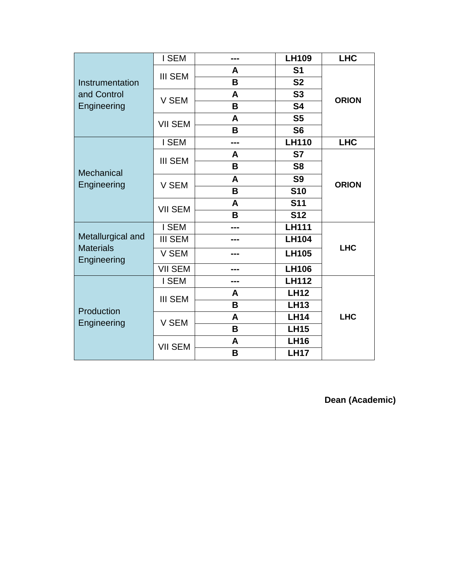| Instrumentation<br>and Control<br>Engineering        | I SEM          | --- | <b>LH109</b>   | <b>LHC</b>   |  |
|------------------------------------------------------|----------------|-----|----------------|--------------|--|
|                                                      | <b>III SEM</b> | A   | S <sub>1</sub> | <b>ORION</b> |  |
|                                                      |                | B   | <b>S2</b>      |              |  |
|                                                      | V SEM          | A   | S <sub>3</sub> |              |  |
|                                                      |                | B   | <b>S4</b>      |              |  |
|                                                      | <b>VII SEM</b> | A   | S <sub>5</sub> |              |  |
|                                                      |                | B   | S <sub>6</sub> |              |  |
| Mechanical<br>Engineering                            | I SEM          | --- | <b>LH110</b>   | <b>LHC</b>   |  |
|                                                      | <b>III SEM</b> | A   | S7             | <b>ORION</b> |  |
|                                                      |                | B   | S <sub>8</sub> |              |  |
|                                                      | V SEM          | A   | S <sub>9</sub> |              |  |
|                                                      |                | B   | <b>S10</b>     |              |  |
|                                                      | <b>VII SEM</b> | A   | <b>S11</b>     |              |  |
|                                                      |                | B   | <b>S12</b>     |              |  |
|                                                      | I SEM          |     | <b>LH111</b>   |              |  |
| Metallurgical and<br><b>Materials</b><br>Engineering | <b>III SEM</b> |     | <b>LH104</b>   |              |  |
|                                                      | V SEM          |     | <b>LH105</b>   | <b>LHC</b>   |  |
|                                                      | <b>VII SEM</b> |     | <b>LH106</b>   |              |  |
| Production<br>Engineering                            | I SEM          |     | <b>LH112</b>   |              |  |
|                                                      | <b>III SEM</b> | A   | <b>LH12</b>    |              |  |
|                                                      |                | B   | <b>LH13</b>    |              |  |
|                                                      | V SEM          | A   | <b>LH14</b>    | <b>LHC</b>   |  |
|                                                      |                | B   | <b>LH15</b>    |              |  |
|                                                      | <b>VII SEM</b> | A   | <b>LH16</b>    |              |  |
|                                                      |                | B   | <b>LH17</b>    |              |  |

**Dean (Academic)**